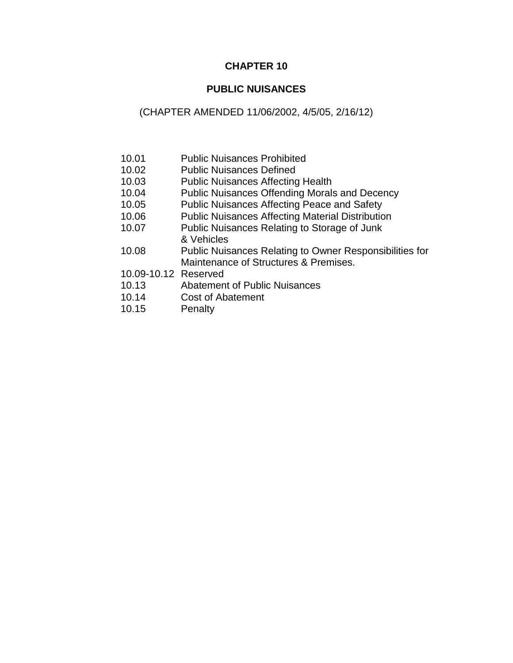# **CHAPTER 10**

### **PUBLIC NUISANCES**

## (CHAPTER AMENDED 11/06/2002, 4/5/05, 2/16/12)

- 10.01 Public Nuisances Prohibited
- 10.02 Public Nuisances Defined
- 10.03 Public Nuisances Affecting Health
- 10.04 Public Nuisances Offending Morals and Decency
- 10.05 Public Nuisances Affecting Peace and Safety
- 10.06 Public Nuisances Affecting Material Distribution
- 10.07 Public Nuisances Relating to Storage of Junk & Vehicles
- 10.08 Public Nuisances Relating to Owner Responsibilities for Maintenance of Structures & Premises.
- 10.09-10.12 Reserved
- 10.13 Abatement of Public Nuisances
- 10.14 Cost of Abatement
- 10.15 Penalty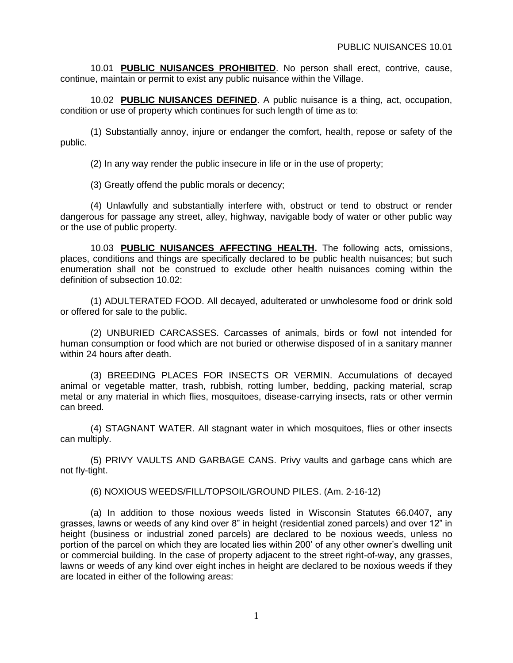10.01 **PUBLIC NUISANCES PROHIBITED**. No person shall erect, contrive, cause, continue, maintain or permit to exist any public nuisance within the Village.

10.02 **PUBLIC NUISANCES DEFINED**. A public nuisance is a thing, act, occupation, condition or use of property which continues for such length of time as to:

(1) Substantially annoy, injure or endanger the comfort, health, repose or safety of the public.

(2) In any way render the public insecure in life or in the use of property;

(3) Greatly offend the public morals or decency;

(4) Unlawfully and substantially interfere with, obstruct or tend to obstruct or render dangerous for passage any street, alley, highway, navigable body of water or other public way or the use of public property.

10.03 **PUBLIC NUISANCES AFFECTING HEALTH.** The following acts, omissions, places, conditions and things are specifically declared to be public health nuisances; but such enumeration shall not be construed to exclude other health nuisances coming within the definition of subsection 10.02:

(1) ADULTERATED FOOD. All decayed, adulterated or unwholesome food or drink sold or offered for sale to the public.

(2) UNBURIED CARCASSES. Carcasses of animals, birds or fowl not intended for human consumption or food which are not buried or otherwise disposed of in a sanitary manner within 24 hours after death.

(3) BREEDING PLACES FOR INSECTS OR VERMIN. Accumulations of decayed animal or vegetable matter, trash, rubbish, rotting lumber, bedding, packing material, scrap metal or any material in which flies, mosquitoes, disease-carrying insects, rats or other vermin can breed.

(4) STAGNANT WATER. All stagnant water in which mosquitoes, flies or other insects can multiply.

(5) PRIVY VAULTS AND GARBAGE CANS. Privy vaults and garbage cans which are not fly-tight.

(6) NOXIOUS WEEDS/FILL/TOPSOIL/GROUND PILES. (Am. 2-16-12)

(a) In addition to those noxious weeds listed in Wisconsin Statutes 66.0407, any grasses, lawns or weeds of any kind over 8" in height (residential zoned parcels) and over 12" in height (business or industrial zoned parcels) are declared to be noxious weeds, unless no portion of the parcel on which they are located lies within 200' of any other owner's dwelling unit or commercial building. In the case of property adjacent to the street right-of-way, any grasses, lawns or weeds of any kind over eight inches in height are declared to be noxious weeds if they are located in either of the following areas: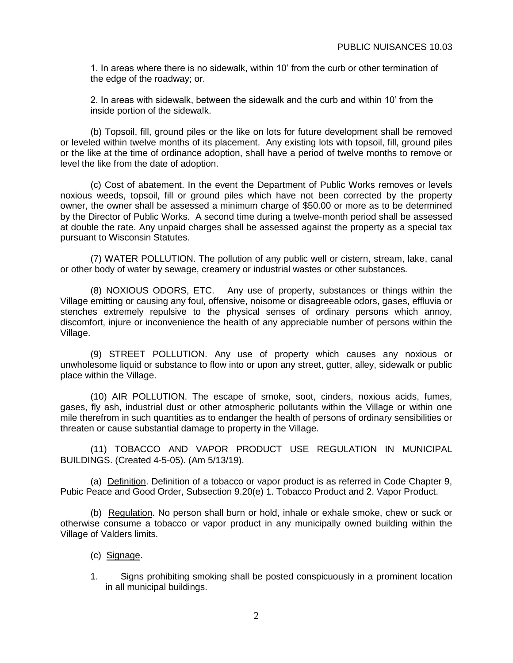1. In areas where there is no sidewalk, within 10' from the curb or other termination of the edge of the roadway; or.

2. In areas with sidewalk, between the sidewalk and the curb and within 10' from the inside portion of the sidewalk.

(b) Topsoil, fill, ground piles or the like on lots for future development shall be removed or leveled within twelve months of its placement. Any existing lots with topsoil, fill, ground piles or the like at the time of ordinance adoption, shall have a period of twelve months to remove or level the like from the date of adoption.

(c) Cost of abatement. In the event the Department of Public Works removes or levels noxious weeds, topsoil, fill or ground piles which have not been corrected by the property owner, the owner shall be assessed a minimum charge of \$50.00 or more as to be determined by the Director of Public Works. A second time during a twelve-month period shall be assessed at double the rate. Any unpaid charges shall be assessed against the property as a special tax pursuant to Wisconsin Statutes.

(7) WATER POLLUTION. The pollution of any public well or cistern, stream, lake, canal or other body of water by sewage, creamery or industrial wastes or other substances.

(8) NOXIOUS ODORS, ETC. Any use of property, substances or things within the Village emitting or causing any foul, offensive, noisome or disagreeable odors, gases, effluvia or stenches extremely repulsive to the physical senses of ordinary persons which annoy, discomfort, injure or inconvenience the health of any appreciable number of persons within the Village.

(9) STREET POLLUTION. Any use of property which causes any noxious or unwholesome liquid or substance to flow into or upon any street, gutter, alley, sidewalk or public place within the Village.

(10) AIR POLLUTION. The escape of smoke, soot, cinders, noxious acids, fumes, gases, fly ash, industrial dust or other atmospheric pollutants within the Village or within one mile therefrom in such quantities as to endanger the health of persons of ordinary sensibilities or threaten or cause substantial damage to property in the Village.

(11) TOBACCO AND VAPOR PRODUCT USE REGULATION IN MUNICIPAL BUILDINGS. (Created 4-5-05). (Am 5/13/19).

(a) Definition. Definition of a tobacco or vapor product is as referred in Code Chapter 9, Pubic Peace and Good Order, Subsection 9.20(e) 1. Tobacco Product and 2. Vapor Product.

(b) Regulation. No person shall burn or hold, inhale or exhale smoke, chew or suck or otherwise consume a tobacco or vapor product in any municipally owned building within the Village of Valders limits.

- (c) Signage.
- 1. Signs prohibiting smoking shall be posted conspicuously in a prominent location in all municipal buildings.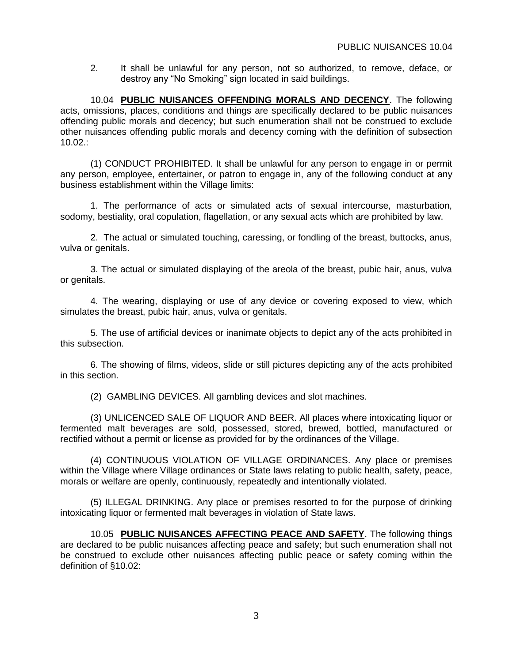2. It shall be unlawful for any person, not so authorized, to remove, deface, or destroy any "No Smoking" sign located in said buildings.

10.04 **PUBLIC NUISANCES OFFENDING MORALS AND DECENCY**. The following acts, omissions, places, conditions and things are specifically declared to be public nuisances offending public morals and decency; but such enumeration shall not be construed to exclude other nuisances offending public morals and decency coming with the definition of subsection 10.02.:

(1) CONDUCT PROHIBITED. It shall be unlawful for any person to engage in or permit any person, employee, entertainer, or patron to engage in, any of the following conduct at any business establishment within the Village limits:

1. The performance of acts or simulated acts of sexual intercourse, masturbation, sodomy, bestiality, oral copulation, flagellation, or any sexual acts which are prohibited by law.

2. The actual or simulated touching, caressing, or fondling of the breast, buttocks, anus, vulva or genitals.

3. The actual or simulated displaying of the areola of the breast, pubic hair, anus, vulva or genitals.

4. The wearing, displaying or use of any device or covering exposed to view, which simulates the breast, pubic hair, anus, vulva or genitals.

5. The use of artificial devices or inanimate objects to depict any of the acts prohibited in this subsection.

6. The showing of films, videos, slide or still pictures depicting any of the acts prohibited in this section.

(2) GAMBLING DEVICES. All gambling devices and slot machines.

(3) UNLICENCED SALE OF LIQUOR AND BEER. All places where intoxicating liquor or fermented malt beverages are sold, possessed, stored, brewed, bottled, manufactured or rectified without a permit or license as provided for by the ordinances of the Village.

(4) CONTINUOUS VIOLATION OF VILLAGE ORDINANCES. Any place or premises within the Village where Village ordinances or State laws relating to public health, safety, peace, morals or welfare are openly, continuously, repeatedly and intentionally violated.

(5) ILLEGAL DRINKING. Any place or premises resorted to for the purpose of drinking intoxicating liquor or fermented malt beverages in violation of State laws.

10.05 **PUBLIC NUISANCES AFFECTING PEACE AND SAFETY**. The following things are declared to be public nuisances affecting peace and safety; but such enumeration shall not be construed to exclude other nuisances affecting public peace or safety coming within the definition of §10.02: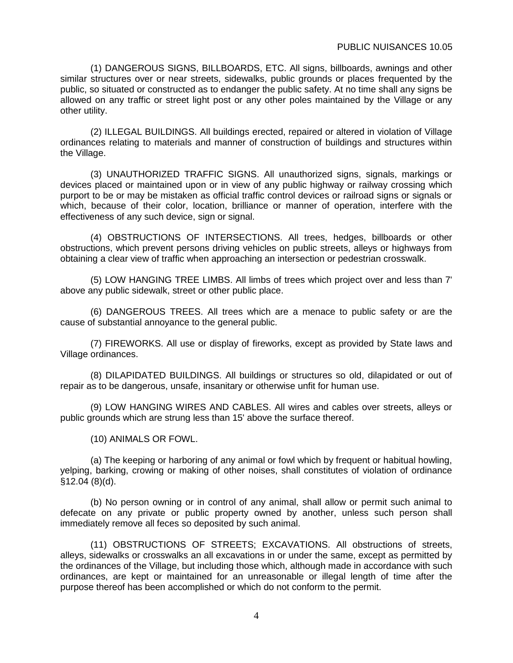(1) DANGEROUS SIGNS, BILLBOARDS, ETC. All signs, billboards, awnings and other similar structures over or near streets, sidewalks, public grounds or places frequented by the public, so situated or constructed as to endanger the public safety. At no time shall any signs be allowed on any traffic or street light post or any other poles maintained by the Village or any other utility.

(2) ILLEGAL BUILDINGS. All buildings erected, repaired or altered in violation of Village ordinances relating to materials and manner of construction of buildings and structures within the Village.

(3) UNAUTHORIZED TRAFFIC SIGNS. All unauthorized signs, signals, markings or devices placed or maintained upon or in view of any public highway or railway crossing which purport to be or may be mistaken as official traffic control devices or railroad signs or signals or which, because of their color, location, brilliance or manner of operation, interfere with the effectiveness of any such device, sign or signal.

(4) OBSTRUCTIONS OF INTERSECTIONS. All trees, hedges, billboards or other obstructions, which prevent persons driving vehicles on public streets, alleys or highways from obtaining a clear view of traffic when approaching an intersection or pedestrian crosswalk.

(5) LOW HANGING TREE LIMBS. All limbs of trees which project over and less than 7' above any public sidewalk, street or other public place.

(6) DANGEROUS TREES. All trees which are a menace to public safety or are the cause of substantial annoyance to the general public.

(7) FIREWORKS. All use or display of fireworks, except as provided by State laws and Village ordinances.

(8) DILAPIDATED BUILDINGS. All buildings or structures so old, dilapidated or out of repair as to be dangerous, unsafe, insanitary or otherwise unfit for human use.

(9) LOW HANGING WIRES AND CABLES. All wires and cables over streets, alleys or public grounds which are strung less than 15' above the surface thereof.

(10) ANIMALS OR FOWL.

(a) The keeping or harboring of any animal or fowl which by frequent or habitual howling, yelping, barking, crowing or making of other noises, shall constitutes of violation of ordinance §12.04 (8)(d).

(b) No person owning or in control of any animal, shall allow or permit such animal to defecate on any private or public property owned by another, unless such person shall immediately remove all feces so deposited by such animal.

(11) OBSTRUCTIONS OF STREETS; EXCAVATIONS. All obstructions of streets, alleys, sidewalks or crosswalks an all excavations in or under the same, except as permitted by the ordinances of the Village, but including those which, although made in accordance with such ordinances, are kept or maintained for an unreasonable or illegal length of time after the purpose thereof has been accomplished or which do not conform to the permit.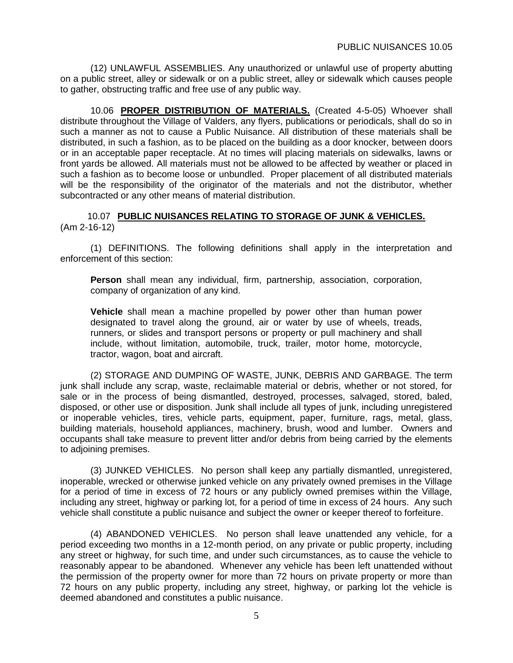(12) UNLAWFUL ASSEMBLIES. Any unauthorized or unlawful use of property abutting on a public street, alley or sidewalk or on a public street, alley or sidewalk which causes people to gather, obstructing traffic and free use of any public way.

10.06 **PROPER DISTRIBUTION OF MATERIALS.** (Created 4-5-05) Whoever shall distribute throughout the Village of Valders, any flyers, publications or periodicals, shall do so in such a manner as not to cause a Public Nuisance. All distribution of these materials shall be distributed, in such a fashion, as to be placed on the building as a door knocker, between doors or in an acceptable paper receptacle. At no times will placing materials on sidewalks, lawns or front yards be allowed. All materials must not be allowed to be affected by weather or placed in such a fashion as to become loose or unbundled. Proper placement of all distributed materials will be the responsibility of the originator of the materials and not the distributor, whether subcontracted or any other means of material distribution.

10.07 **PUBLIC NUISANCES RELATING TO STORAGE OF JUNK & VEHICLES.** (Am 2-16-12)

(1) DEFINITIONS. The following definitions shall apply in the interpretation and enforcement of this section:

**Person** shall mean any individual, firm, partnership, association, corporation, company of organization of any kind.

**Vehicle** shall mean a machine propelled by power other than human power designated to travel along the ground, air or water by use of wheels, treads, runners, or slides and transport persons or property or pull machinery and shall include, without limitation, automobile, truck, trailer, motor home, motorcycle, tractor, wagon, boat and aircraft.

(2) STORAGE AND DUMPING OF WASTE, JUNK, DEBRIS AND GARBAGE. The term junk shall include any scrap, waste, reclaimable material or debris, whether or not stored, for sale or in the process of being dismantled, destroyed, processes, salvaged, stored, baled, disposed, or other use or disposition. Junk shall include all types of junk, including unregistered or inoperable vehicles, tires, vehicle parts, equipment, paper, furniture, rags, metal, glass, building materials, household appliances, machinery, brush, wood and lumber. Owners and occupants shall take measure to prevent litter and/or debris from being carried by the elements to adjoining premises.

(3) JUNKED VEHICLES. No person shall keep any partially dismantled, unregistered, inoperable, wrecked or otherwise junked vehicle on any privately owned premises in the Village for a period of time in excess of 72 hours or any publicly owned premises within the Village, including any street, highway or parking lot, for a period of time in excess of 24 hours. Any such vehicle shall constitute a public nuisance and subject the owner or keeper thereof to forfeiture.

(4) ABANDONED VEHICLES. No person shall leave unattended any vehicle, for a period exceeding two months in a 12-month period, on any private or public property, including any street or highway, for such time, and under such circumstances, as to cause the vehicle to reasonably appear to be abandoned. Whenever any vehicle has been left unattended without the permission of the property owner for more than 72 hours on private property or more than 72 hours on any public property, including any street, highway, or parking lot the vehicle is deemed abandoned and constitutes a public nuisance.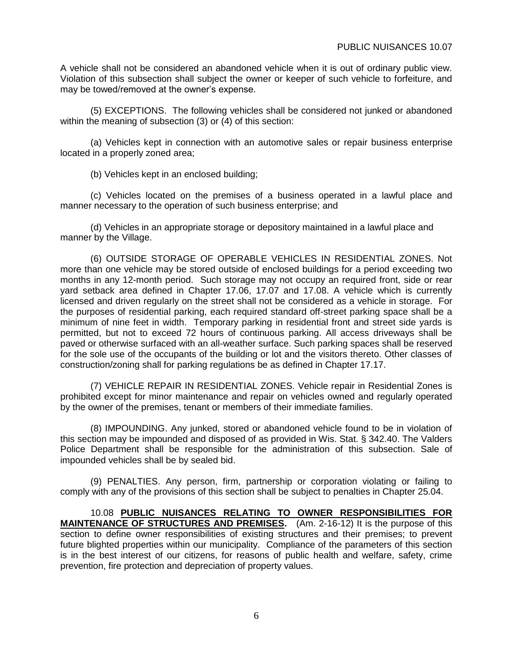A vehicle shall not be considered an abandoned vehicle when it is out of ordinary public view. Violation of this subsection shall subject the owner or keeper of such vehicle to forfeiture, and may be towed/removed at the owner's expense.

(5) EXCEPTIONS. The following vehicles shall be considered not junked or abandoned within the meaning of subsection (3) or (4) of this section:

(a) Vehicles kept in connection with an automotive sales or repair business enterprise located in a properly zoned area;

(b) Vehicles kept in an enclosed building;

(c) Vehicles located on the premises of a business operated in a lawful place and manner necessary to the operation of such business enterprise; and

(d) Vehicles in an appropriate storage or depository maintained in a lawful place and manner by the Village.

(6) OUTSIDE STORAGE OF OPERABLE VEHICLES IN RESIDENTIAL ZONES. Not more than one vehicle may be stored outside of enclosed buildings for a period exceeding two months in any 12-month period. Such storage may not occupy an required front, side or rear yard setback area defined in Chapter 17.06, 17.07 and 17.08. A vehicle which is currently licensed and driven regularly on the street shall not be considered as a vehicle in storage. For the purposes of residential parking, each required standard off-street parking space shall be a minimum of nine feet in width. Temporary parking in residential front and street side yards is permitted, but not to exceed 72 hours of continuous parking. All access driveways shall be paved or otherwise surfaced with an all-weather surface. Such parking spaces shall be reserved for the sole use of the occupants of the building or lot and the visitors thereto. Other classes of construction/zoning shall for parking regulations be as defined in Chapter 17.17.

(7) VEHICLE REPAIR IN RESIDENTIAL ZONES. Vehicle repair in Residential Zones is prohibited except for minor maintenance and repair on vehicles owned and regularly operated by the owner of the premises, tenant or members of their immediate families.

(8) IMPOUNDING. Any junked, stored or abandoned vehicle found to be in violation of this section may be impounded and disposed of as provided in Wis. Stat. § 342.40. The Valders Police Department shall be responsible for the administration of this subsection. Sale of impounded vehicles shall be by sealed bid.

(9) PENALTIES. Any person, firm, partnership or corporation violating or failing to comply with any of the provisions of this section shall be subject to penalties in Chapter 25.04.

10.08 **PUBLIC NUISANCES RELATING TO OWNER RESPONSIBILITIES FOR MAINTENANCE OF STRUCTURES AND PREMISES.** (Am. 2-16-12) It is the purpose of this section to define owner responsibilities of existing structures and their premises; to prevent future blighted properties within our municipality. Compliance of the parameters of this section is in the best interest of our citizens, for reasons of public health and welfare, safety, crime prevention, fire protection and depreciation of property values.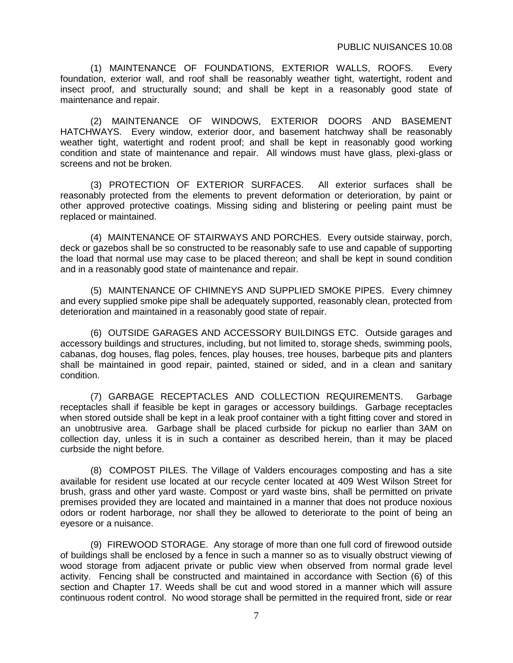(1) MAINTENANCE OF FOUNDATIONS, EXTERIOR WALLS, ROOFS. Every foundation, exterior wall, and roof shall be reasonably weather tight, watertight, rodent and insect proof, and structurally sound; and shall be kept in a reasonably good state of maintenance and repair.

(2) MAINTENANCE OF WINDOWS, EXTERIOR DOORS AND BASEMENT HATCHWAYS. Every window, exterior door, and basement hatchway shall be reasonably weather tight, watertight and rodent proof; and shall be kept in reasonably good working condition and state of maintenance and repair. All windows must have glass, plexi-glass or screens and not be broken.

(3) PROTECTION OF EXTERIOR SURFACES. All exterior surfaces shall be reasonably protected from the elements to prevent deformation or deterioration, by paint or other approved protective coatings. Missing siding and blistering or peeling paint must be replaced or maintained.

(4) MAINTENANCE OF STAIRWAYS AND PORCHES. Every outside stairway, porch, deck or gazebos shall be so constructed to be reasonably safe to use and capable of supporting the load that normal use may case to be placed thereon; and shall be kept in sound condition and in a reasonably good state of maintenance and repair.

(5) MAINTENANCE OF CHIMNEYS AND SUPPLIED SMOKE PIPES. Every chimney and every supplied smoke pipe shall be adequately supported, reasonably clean, protected from deterioration and maintained in a reasonably good state of repair.

(6) OUTSIDE GARAGES AND ACCESSORY BUILDINGS ETC. Outside garages and accessory buildings and structures, including, but not limited to, storage sheds, swimming pools, cabanas, dog houses, flag poles, fences, play houses, tree houses, barbeque pits and planters shall be maintained in good repair, painted, stained or sided, and in a clean and sanitary condition.

(7) GARBAGE RECEPTACLES AND COLLECTION REQUIREMENTS. Garbage receptacles shall if feasible be kept in garages or accessory buildings. Garbage receptacles when stored outside shall be kept in a leak proof container with a tight fitting cover and stored in an unobtrusive area. Garbage shall be placed curbside for pickup no earlier than 3AM on collection day, unless it is in such a container as described herein, than it may be placed curbside the night before.

(8) COMPOST PILES. The Village of Valders encourages composting and has a site available for resident use located at our recycle center located at 409 West Wilson Street for brush, grass and other yard waste. Compost or yard waste bins, shall be permitted on private premises provided they are located and maintained in a manner that does not produce noxious odors or rodent harborage, nor shall they be allowed to deteriorate to the point of being an eyesore or a nuisance.

(9) FIREWOOD STORAGE. Any storage of more than one full cord of firewood outside of buildings shall be enclosed by a fence in such a manner so as to visually obstruct viewing of wood storage from adjacent private or public view when observed from normal grade level activity. Fencing shall be constructed and maintained in accordance with Section (6) of this section and Chapter 17. Weeds shall be cut and wood stored in a manner which will assure continuous rodent control. No wood storage shall be permitted in the required front, side or rear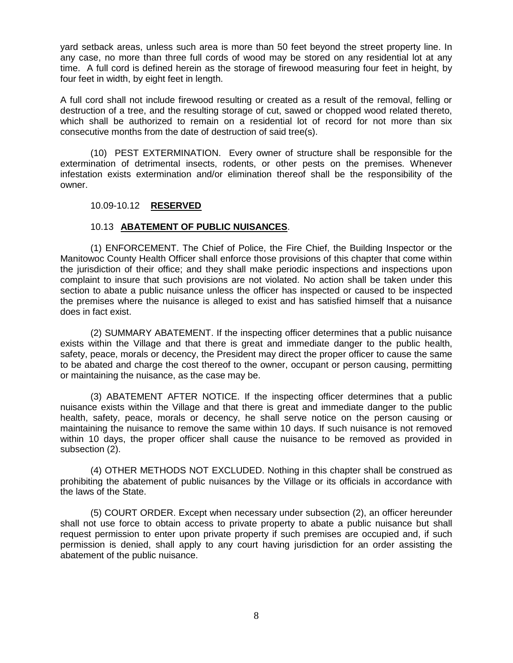yard setback areas, unless such area is more than 50 feet beyond the street property line. In any case, no more than three full cords of wood may be stored on any residential lot at any time. A full cord is defined herein as the storage of firewood measuring four feet in height, by four feet in width, by eight feet in length.

A full cord shall not include firewood resulting or created as a result of the removal, felling or destruction of a tree, and the resulting storage of cut, sawed or chopped wood related thereto, which shall be authorized to remain on a residential lot of record for not more than six consecutive months from the date of destruction of said tree(s).

(10) PEST EXTERMINATION. Every owner of structure shall be responsible for the extermination of detrimental insects, rodents, or other pests on the premises. Whenever infestation exists extermination and/or elimination thereof shall be the responsibility of the owner.

### 10.09-10.12 **RESERVED**

### 10.13 **ABATEMENT OF PUBLIC NUISANCES**.

(1) ENFORCEMENT. The Chief of Police, the Fire Chief, the Building Inspector or the Manitowoc County Health Officer shall enforce those provisions of this chapter that come within the jurisdiction of their office; and they shall make periodic inspections and inspections upon complaint to insure that such provisions are not violated. No action shall be taken under this section to abate a public nuisance unless the officer has inspected or caused to be inspected the premises where the nuisance is alleged to exist and has satisfied himself that a nuisance does in fact exist.

(2) SUMMARY ABATEMENT. If the inspecting officer determines that a public nuisance exists within the Village and that there is great and immediate danger to the public health, safety, peace, morals or decency, the President may direct the proper officer to cause the same to be abated and charge the cost thereof to the owner, occupant or person causing, permitting or maintaining the nuisance, as the case may be.

(3) ABATEMENT AFTER NOTICE. If the inspecting officer determines that a public nuisance exists within the Village and that there is great and immediate danger to the public health, safety, peace, morals or decency, he shall serve notice on the person causing or maintaining the nuisance to remove the same within 10 days. If such nuisance is not removed within 10 days, the proper officer shall cause the nuisance to be removed as provided in subsection (2).

(4) OTHER METHODS NOT EXCLUDED. Nothing in this chapter shall be construed as prohibiting the abatement of public nuisances by the Village or its officials in accordance with the laws of the State.

(5) COURT ORDER. Except when necessary under subsection (2), an officer hereunder shall not use force to obtain access to private property to abate a public nuisance but shall request permission to enter upon private property if such premises are occupied and, if such permission is denied, shall apply to any court having jurisdiction for an order assisting the abatement of the public nuisance.